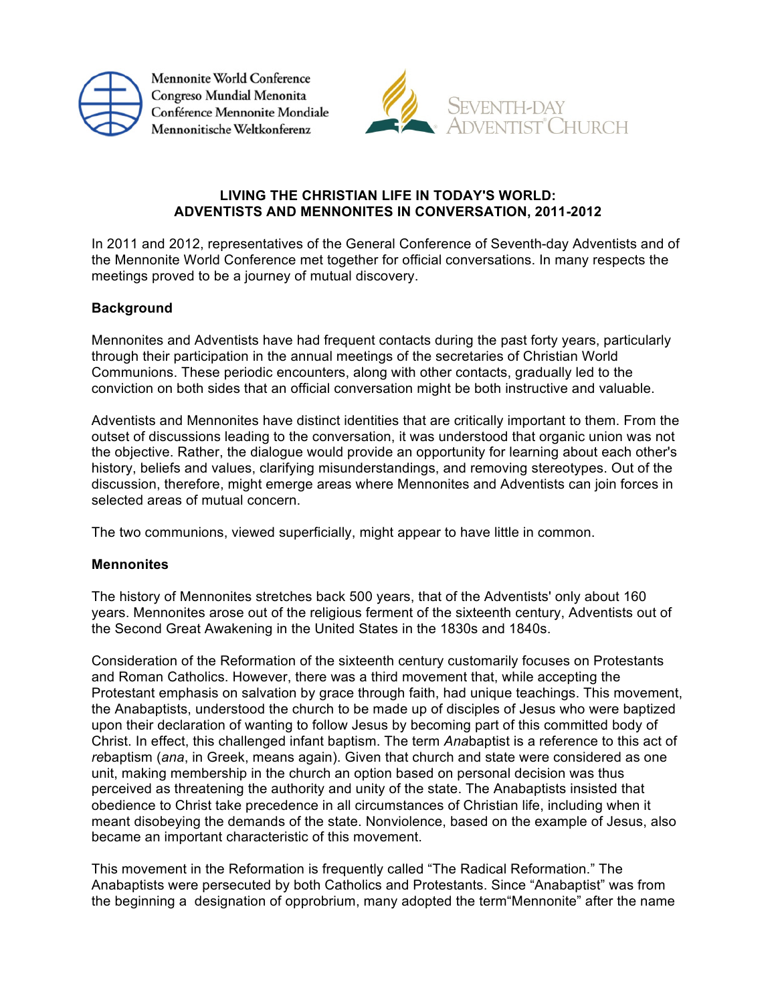

Mennonite World Conference Congreso Mundial Menonita Conférence Mennonite Mondiale Mennonitische Weltkonferenz



# **LIVING THE CHRISTIAN LIFE IN TODAY'S WORLD: ADVENTISTS AND MENNONITES IN CONVERSATION, 2011-2012**

In 2011 and 2012, representatives of the General Conference of Seventh-day Adventists and of the Mennonite World Conference met together for official conversations. In many respects the meetings proved to be a journey of mutual discovery.

## **Background**

Mennonites and Adventists have had frequent contacts during the past forty years, particularly through their participation in the annual meetings of the secretaries of Christian World Communions. These periodic encounters, along with other contacts, gradually led to the conviction on both sides that an official conversation might be both instructive and valuable.

Adventists and Mennonites have distinct identities that are critically important to them. From the outset of discussions leading to the conversation, it was understood that organic union was not the objective. Rather, the dialogue would provide an opportunity for learning about each other's history, beliefs and values, clarifying misunderstandings, and removing stereotypes. Out of the discussion, therefore, might emerge areas where Mennonites and Adventists can join forces in selected areas of mutual concern.

The two communions, viewed superficially, might appear to have little in common.

#### **Mennonites**

The history of Mennonites stretches back 500 years, that of the Adventists' only about 160 years. Mennonites arose out of the religious ferment of the sixteenth century, Adventists out of the Second Great Awakening in the United States in the 1830s and 1840s.

Consideration of the Reformation of the sixteenth century customarily focuses on Protestants and Roman Catholics. However, there was a third movement that, while accepting the Protestant emphasis on salvation by grace through faith, had unique teachings. This movement, the Anabaptists, understood the church to be made up of disciples of Jesus who were baptized upon their declaration of wanting to follow Jesus by becoming part of this committed body of Christ. In effect, this challenged infant baptism. The term *Ana*baptist is a reference to this act of *re*baptism (*ana*, in Greek, means again). Given that church and state were considered as one unit, making membership in the church an option based on personal decision was thus perceived as threatening the authority and unity of the state. The Anabaptists insisted that obedience to Christ take precedence in all circumstances of Christian life, including when it meant disobeying the demands of the state. Nonviolence, based on the example of Jesus, also became an important characteristic of this movement.

This movement in the Reformation is frequently called "The Radical Reformation." The Anabaptists were persecuted by both Catholics and Protestants. Since "Anabaptist" was from the beginning a designation of opprobrium, many adopted the term"Mennonite" after the name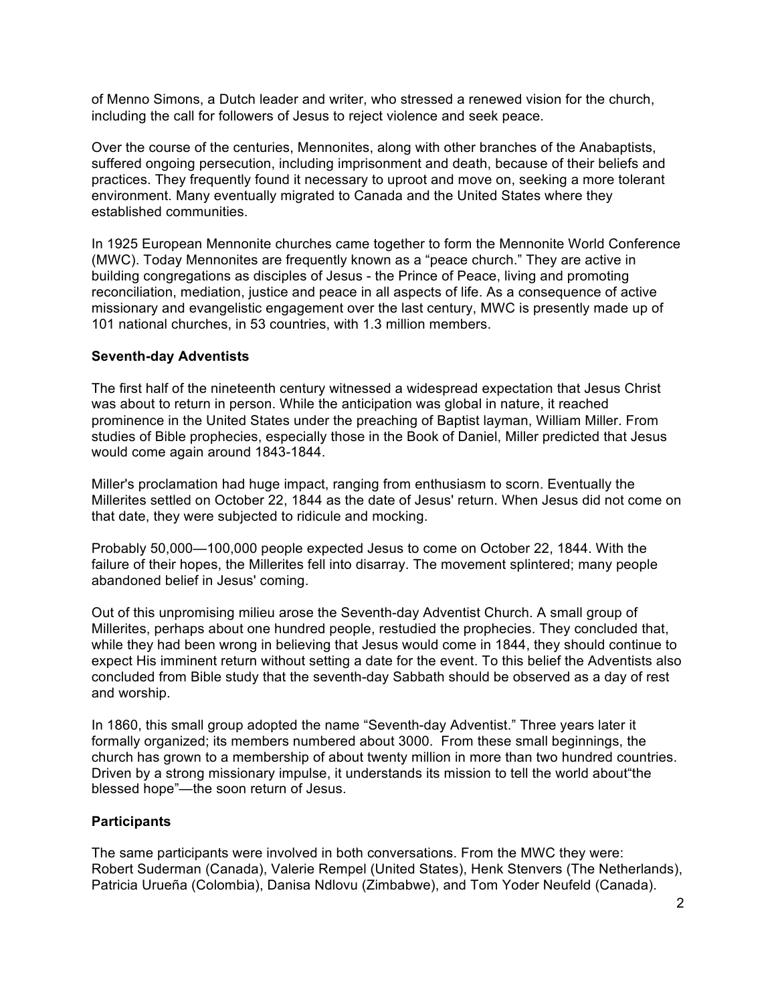of Menno Simons, a Dutch leader and writer, who stressed a renewed vision for the church, including the call for followers of Jesus to reject violence and seek peace.

Over the course of the centuries, Mennonites, along with other branches of the Anabaptists, suffered ongoing persecution, including imprisonment and death, because of their beliefs and practices. They frequently found it necessary to uproot and move on, seeking a more tolerant environment. Many eventually migrated to Canada and the United States where they established communities.

In 1925 European Mennonite churches came together to form the Mennonite World Conference (MWC). Today Mennonites are frequently known as a "peace church." They are active in building congregations as disciples of Jesus - the Prince of Peace, living and promoting reconciliation, mediation, justice and peace in all aspects of life. As a consequence of active missionary and evangelistic engagement over the last century, MWC is presently made up of 101 national churches, in 53 countries, with 1.3 million members.

### **Seventh-day Adventists**

The first half of the nineteenth century witnessed a widespread expectation that Jesus Christ was about to return in person. While the anticipation was global in nature, it reached prominence in the United States under the preaching of Baptist layman, William Miller. From studies of Bible prophecies, especially those in the Book of Daniel, Miller predicted that Jesus would come again around 1843-1844.

Miller's proclamation had huge impact, ranging from enthusiasm to scorn. Eventually the Millerites settled on October 22, 1844 as the date of Jesus' return. When Jesus did not come on that date, they were subjected to ridicule and mocking.

Probably 50,000—100,000 people expected Jesus to come on October 22, 1844. With the failure of their hopes, the Millerites fell into disarray. The movement splintered; many people abandoned belief in Jesus' coming.

Out of this unpromising milieu arose the Seventh-day Adventist Church. A small group of Millerites, perhaps about one hundred people, restudied the prophecies. They concluded that, while they had been wrong in believing that Jesus would come in 1844, they should continue to expect His imminent return without setting a date for the event. To this belief the Adventists also concluded from Bible study that the seventh-day Sabbath should be observed as a day of rest and worship.

In 1860, this small group adopted the name "Seventh-day Adventist." Three years later it formally organized; its members numbered about 3000. From these small beginnings, the church has grown to a membership of about twenty million in more than two hundred countries. Driven by a strong missionary impulse, it understands its mission to tell the world about"the blessed hope"—the soon return of Jesus.

## **Participants**

The same participants were involved in both conversations. From the MWC they were: Robert Suderman (Canada), Valerie Rempel (United States), Henk Stenvers (The Netherlands), Patricia Urueña (Colombia), Danisa Ndlovu (Zimbabwe), and Tom Yoder Neufeld (Canada).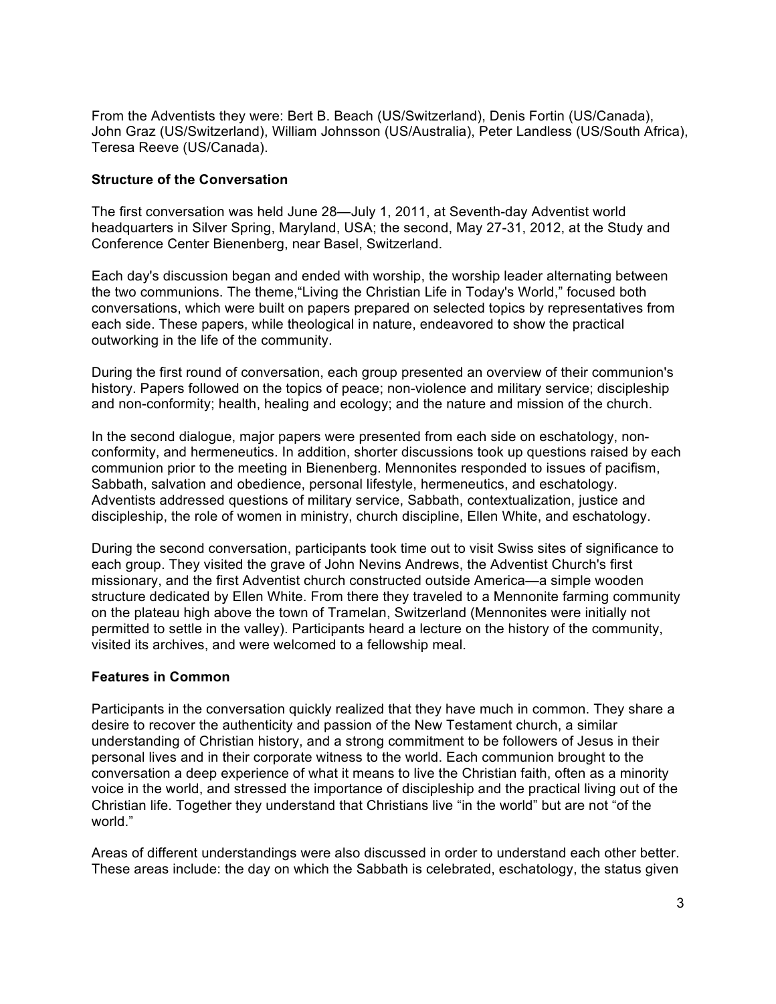From the Adventists they were: Bert B. Beach (US/Switzerland), Denis Fortin (US/Canada), John Graz (US/Switzerland), William Johnsson (US/Australia), Peter Landless (US/South Africa), Teresa Reeve (US/Canada).

### **Structure of the Conversation**

The first conversation was held June 28—July 1, 2011, at Seventh-day Adventist world headquarters in Silver Spring, Maryland, USA; the second, May 27-31, 2012, at the Study and Conference Center Bienenberg, near Basel, Switzerland.

Each day's discussion began and ended with worship, the worship leader alternating between the two communions. The theme,"Living the Christian Life in Today's World," focused both conversations, which were built on papers prepared on selected topics by representatives from each side. These papers, while theological in nature, endeavored to show the practical outworking in the life of the community.

During the first round of conversation, each group presented an overview of their communion's history. Papers followed on the topics of peace; non-violence and military service; discipleship and non-conformity; health, healing and ecology; and the nature and mission of the church.

In the second dialogue, major papers were presented from each side on eschatology, nonconformity, and hermeneutics. In addition, shorter discussions took up questions raised by each communion prior to the meeting in Bienenberg. Mennonites responded to issues of pacifism, Sabbath, salvation and obedience, personal lifestyle, hermeneutics, and eschatology. Adventists addressed questions of military service, Sabbath, contextualization, justice and discipleship, the role of women in ministry, church discipline, Ellen White, and eschatology.

During the second conversation, participants took time out to visit Swiss sites of significance to each group. They visited the grave of John Nevins Andrews, the Adventist Church's first missionary, and the first Adventist church constructed outside America—a simple wooden structure dedicated by Ellen White. From there they traveled to a Mennonite farming community on the plateau high above the town of Tramelan, Switzerland (Mennonites were initially not permitted to settle in the valley). Participants heard a lecture on the history of the community, visited its archives, and were welcomed to a fellowship meal.

#### **Features in Common**

Participants in the conversation quickly realized that they have much in common. They share a desire to recover the authenticity and passion of the New Testament church, a similar understanding of Christian history, and a strong commitment to be followers of Jesus in their personal lives and in their corporate witness to the world. Each communion brought to the conversation a deep experience of what it means to live the Christian faith, often as a minority voice in the world, and stressed the importance of discipleship and the practical living out of the Christian life. Together they understand that Christians live "in the world" but are not "of the world."

Areas of different understandings were also discussed in order to understand each other better. These areas include: the day on which the Sabbath is celebrated, eschatology, the status given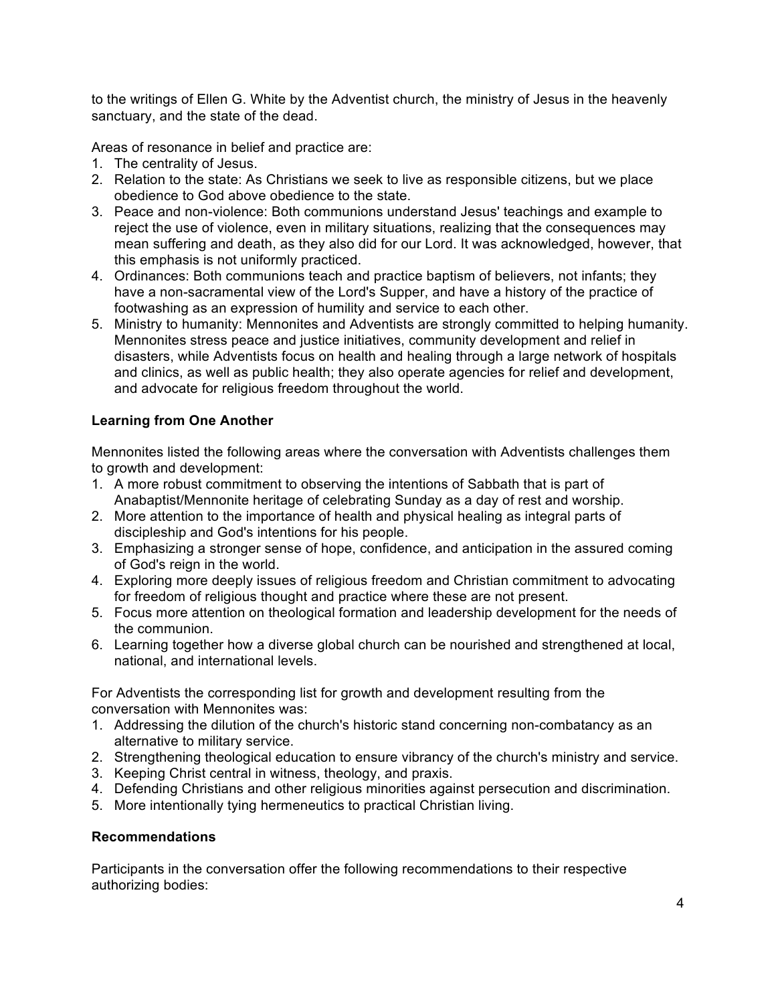to the writings of Ellen G. White by the Adventist church, the ministry of Jesus in the heavenly sanctuary, and the state of the dead.

Areas of resonance in belief and practice are:

- 1. The centrality of Jesus.
- 2. Relation to the state: As Christians we seek to live as responsible citizens, but we place obedience to God above obedience to the state.
- 3. Peace and non-violence: Both communions understand Jesus' teachings and example to reject the use of violence, even in military situations, realizing that the consequences may mean suffering and death, as they also did for our Lord. It was acknowledged, however, that this emphasis is not uniformly practiced.
- 4. Ordinances: Both communions teach and practice baptism of believers, not infants; they have a non-sacramental view of the Lord's Supper, and have a history of the practice of footwashing as an expression of humility and service to each other.
- 5. Ministry to humanity: Mennonites and Adventists are strongly committed to helping humanity. Mennonites stress peace and justice initiatives, community development and relief in disasters, while Adventists focus on health and healing through a large network of hospitals and clinics, as well as public health; they also operate agencies for relief and development, and advocate for religious freedom throughout the world.

# **Learning from One Another**

Mennonites listed the following areas where the conversation with Adventists challenges them to growth and development:

- 1. A more robust commitment to observing the intentions of Sabbath that is part of Anabaptist/Mennonite heritage of celebrating Sunday as a day of rest and worship.
- 2. More attention to the importance of health and physical healing as integral parts of discipleship and God's intentions for his people.
- 3. Emphasizing a stronger sense of hope, confidence, and anticipation in the assured coming of God's reign in the world.
- 4. Exploring more deeply issues of religious freedom and Christian commitment to advocating for freedom of religious thought and practice where these are not present.
- 5. Focus more attention on theological formation and leadership development for the needs of the communion.
- 6. Learning together how a diverse global church can be nourished and strengthened at local, national, and international levels.

For Adventists the corresponding list for growth and development resulting from the conversation with Mennonites was:

- 1. Addressing the dilution of the church's historic stand concerning non-combatancy as an alternative to military service.
- 2. Strengthening theological education to ensure vibrancy of the church's ministry and service.
- 3. Keeping Christ central in witness, theology, and praxis.
- 4. Defending Christians and other religious minorities against persecution and discrimination.
- 5. More intentionally tying hermeneutics to practical Christian living.

## **Recommendations**

Participants in the conversation offer the following recommendations to their respective authorizing bodies: